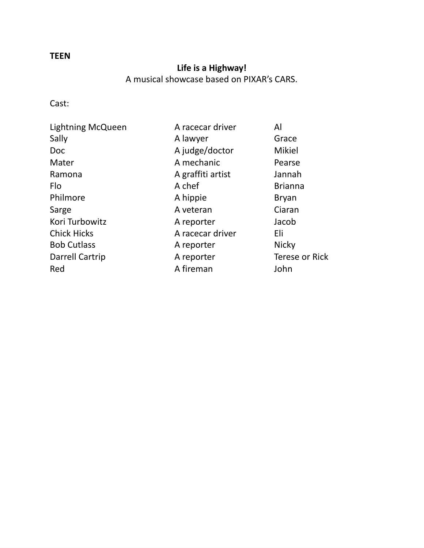# **Life is a Highway!** A musical showcase based on PIXAR's CARS.

Cast:

| <b>Lightning McQueen</b> | A racecar driver  | Al                    |
|--------------------------|-------------------|-----------------------|
| Sally                    | A lawyer          | Grace                 |
| <b>Doc</b>               | A judge/doctor    | <b>Mikiel</b>         |
| Mater                    | A mechanic        | Pearse                |
| Ramona                   | A graffiti artist | Jannah                |
| Flo                      | A chef            | <b>Brianna</b>        |
| Philmore                 | A hippie          | <b>Bryan</b>          |
| Sarge                    | A veteran         | Ciaran                |
| Kori Turbowitz           | A reporter        | Jacob                 |
| <b>Chick Hicks</b>       | A racecar driver  | Eli                   |
| <b>Bob Cutlass</b>       | A reporter        | <b>Nicky</b>          |
| Darrell Cartrip          | A reporter        | <b>Terese or Rick</b> |
| Red                      | A fireman         | John                  |

# **TEEN**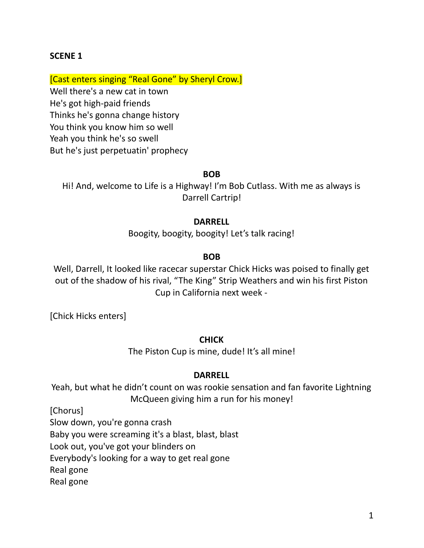### **SCENE 1**

[Cast enters singing "Real Gone" by Sheryl Crow.]

Well there's a new cat in town He's got high-paid friends Thinks he's gonna change history You think you know him so well Yeah you think he's so swell But he's just perpetuatin' prophecy

#### **BOB**

Hi! And, welcome to Life is a Highway! I'm Bob Cutlass. With me as always is Darrell Cartrip!

#### **DARRELL**

Boogity, boogity, boogity! Let's talk racing!

#### **BOB**

Well, Darrell, It looked like racecar superstar Chick Hicks was poised to finally get out of the shadow of his rival, "The King" Strip Weathers and win his first Piston Cup in California next week -

[Chick Hicks enters]

#### **CHICK**

The Piston Cup is mine, dude! It's all mine!

#### **DARRELL**

Yeah, but what he didn't count on was rookie sensation and fan favorite Lightning McQueen giving him a run for his money!

[Chorus]

Slow down, you're gonna crash

Baby you were screaming it's a blast, blast, blast

Look out, you've got your blinders on

Everybody's looking for a way to get real gone

Real gone

Real gone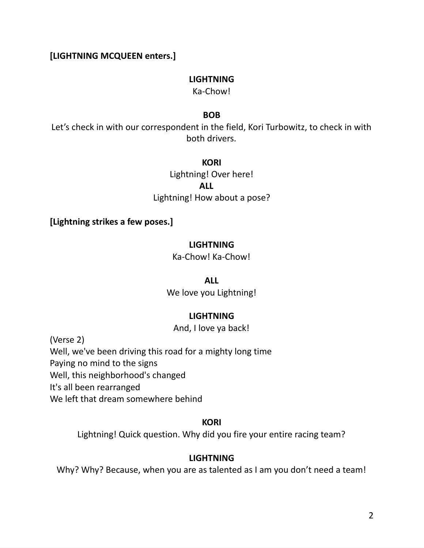### **[LIGHTNING MCQUEEN enters.]**

#### **LIGHTNING**

Ka-Chow!

#### **BOB**

Let's check in with our correspondent in the field, Kori Turbowitz, to check in with both drivers.

#### **KORI**

Lightning! Over here! **ALL** Lightning! How about a pose?

### **[Lightning strikes a few poses.]**

#### **LIGHTNING**

Ka-Chow! Ka-Chow!

#### **ALL**

We love you Lightning!

### **LIGHTNING**

And, I love ya back!

(Verse 2)

Well, we've been driving this road for a mighty long time Paying no mind to the signs Well, this neighborhood's changed It's all been rearranged We left that dream somewhere behind

### **KORI**

Lightning! Quick question. Why did you fire your entire racing team?

### **LIGHTNING**

Why? Why? Because, when you are as talented as I am you don't need a team!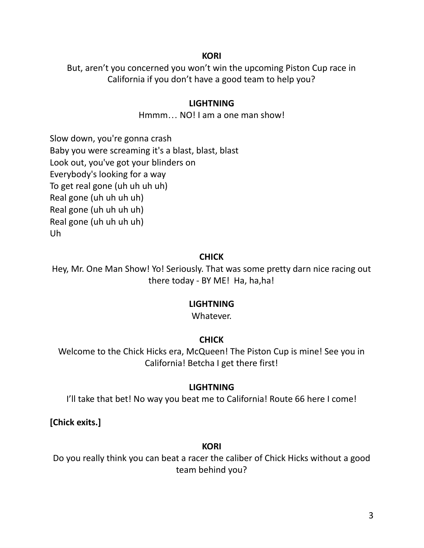### **KORI**

But, aren't you concerned you won't win the upcoming Piston Cup race in California if you don't have a good team to help you?

### **LIGHTNING**

Hmmm… NO! I am a one man show!

Slow down, you're gonna crash Baby you were screaming it's a blast, blast, blast Look out, you've got your blinders on Everybody's looking for a way To get real gone (uh uh uh uh) Real gone (uh uh uh uh) Real gone (uh uh uh uh) Real gone (uh uh uh uh) Uh

### **CHICK**

Hey, Mr. One Man Show! Yo! Seriously. That was some pretty darn nice racing out there today - BY ME! Ha, ha,ha!

### **LIGHTNING**

Whatever.

### **CHICK**

Welcome to the Chick Hicks era, McQueen! The Piston Cup is mine! See you in California! Betcha I get there first!

### **LIGHTNING**

I'll take that bet! No way you beat me to California! Route 66 here I come!

**[Chick exits.]**

### **KORI**

Do you really think you can beat a racer the caliber of Chick Hicks without a good team behind you?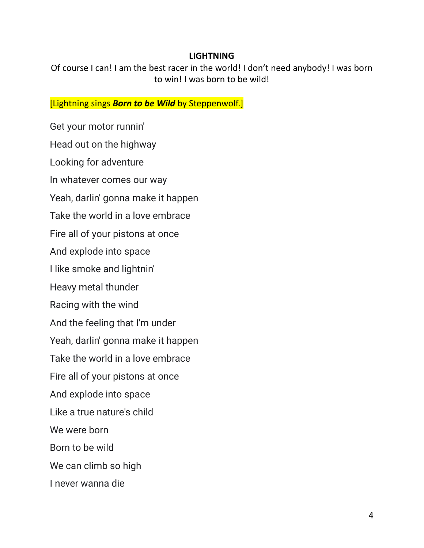#### **LIGHTNING**

Of course I can! I am the best racer in the world! I don't need anybody! I was born to win! I was born to be wild!

[Lightning sings *Born to be Wild* by Steppenwolf.]

Get your motor runnin' Head out on the highway Looking for adventure In whatever comes our way Yeah, darlin' gonna make it happen Take the world in a love embrace Fire all of your pistons at once And explode into space I like smoke and lightnin' Heavy metal thunder Racing with the wind And the feeling that I'm under Yeah, darlin' gonna make it happen Take the world in a love embrace Fire all of your pistons at once And explode into space Like a true nature's child We were born Born to be wild We can climb so high I never wanna die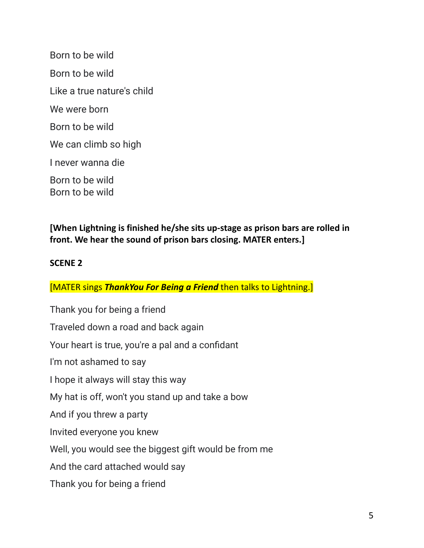Born to be wild Born to be wild Like a true nature's child We were born Born to be wild We can climb so high I never wanna die Born to be wild Born to be wild

**[When Lightning is finished he/she sits up-stage as prison bars are rolled in front. We hear the sound of prison bars closing. MATER enters.]**

#### **SCENE 2**

[MATER sings *ThankYou For Being a Friend* then talks to Lightning.]

Thank you for being a friend Traveled down a road and back again Your heart is true, you're a pal and a confidant I'm not ashamed to say I hope it always will stay this way My hat is off, won't you stand up and take a bow And if you threw a party Invited everyone you knew Well, you would see the biggest gift would be from me And the card attached would say Thank you for being a friend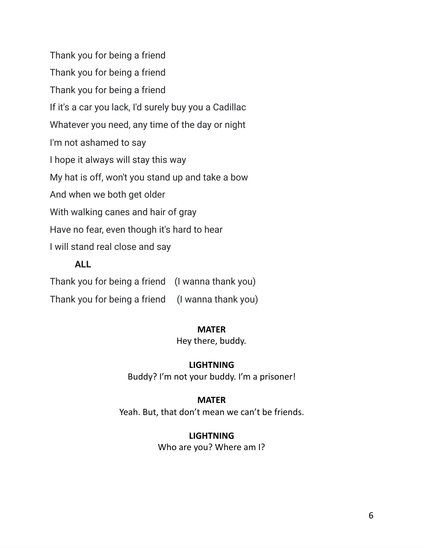Thank you for being a friend Thank you for being a friend Thank you for being a friend If it's a car you lack, I'd surely buy you a Cadillac Whatever you need, any time of the day or night I'm not ashamed to say I hope it always will stay this way My hat is off, won't you stand up and take a bow And when we both get older With walking canes and hair of gray Have no fear, even though it's hard to hear I will stand real close and say

## **ALL**

| Thank you for being a friend (I wanna thank you) |  |
|--------------------------------------------------|--|
| Thank you for being a friend (I wanna thank you) |  |

#### **MATER**

Hey there, buddy.

#### **LIGHTNING**

Buddy? I'm not your buddy. I'm a prisoner!

#### **MATER**

Yeah. But, that don't mean we can't be friends.

### **LIGHTNING**

Who are you? Where am I?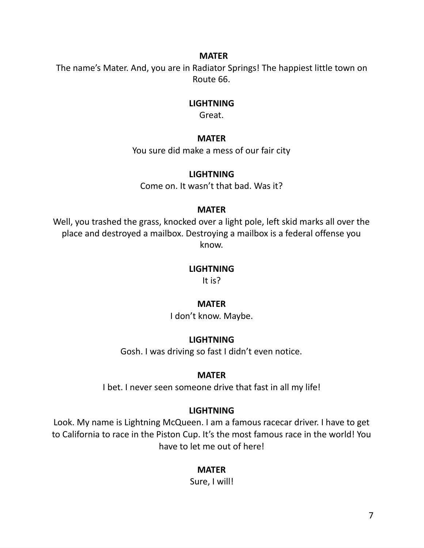#### **MATER**

The name's Mater. And, you are in Radiator Springs! The happiest little town on Route 66.

#### **LIGHTNING**

Great.

#### **MATER**

You sure did make a mess of our fair city

### **LIGHTNING**

Come on. It wasn't that bad. Was it?

#### **MATER**

Well, you trashed the grass, knocked over a light pole, left skid marks all over the place and destroyed a mailbox. Destroying a mailbox is a federal offense you know.

#### **LIGHTNING**

It is?

### **MATER**

I don't know. Maybe.

### **LIGHTNING**

Gosh. I was driving so fast I didn't even notice.

#### **MATER**

I bet. I never seen someone drive that fast in all my life!

### **LIGHTNING**

Look. My name is Lightning McQueen. I am a famous racecar driver. I have to get to California to race in the Piston Cup. It's the most famous race in the world! You have to let me out of here!

#### **MATER**

Sure, I will!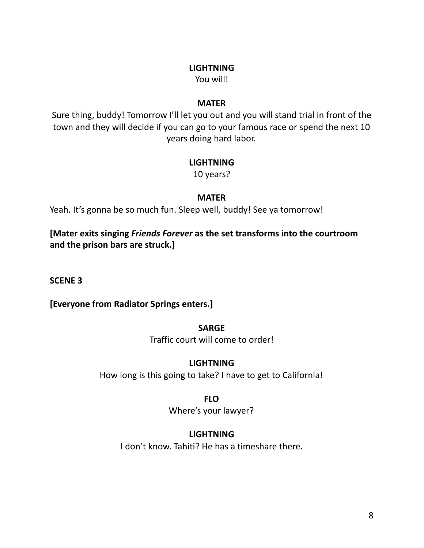#### **LIGHTNING**

You will!

### **MATER**

Sure thing, buddy! Tomorrow I'll let you out and you will stand trial in front of the town and they will decide if you can go to your famous race or spend the next 10 years doing hard labor.

## **LIGHTNING**

10 years?

# **MATER**

Yeah. It's gonna be so much fun. Sleep well, buddy! See ya tomorrow!

**[Mater exits singing** *Friends Forever* **as the set transforms into the courtroom and the prison bars are struck.]**

**SCENE 3**

**[Everyone from Radiator Springs enters.]**

### **SARGE**

Traffic court will come to order!

# **LIGHTNING**

How long is this going to take? I have to get to California!

**FLO**

Where's your lawyer?

# **LIGHTNING**

I don't know. Tahiti? He has a timeshare there.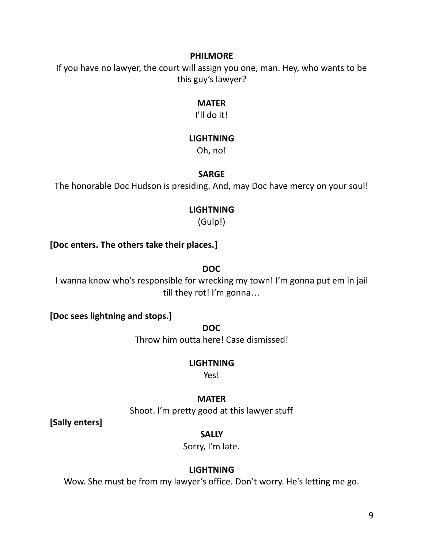#### **PHILMORE**

If you have no lawyer, the court will assign you one, man. Hey, who wants to be this guy's lawyer?

#### **MATER**

I'll do it!

#### **LIGHTNING**

Oh, no!

#### **SARGE**

The honorable Doc Hudson is presiding. And, may Doc have mercy on your soul!

#### **LIGHTNING**

(Gulp!)

#### **[Doc enters. The others take their places.]**

**DOC**

I wanna know who's responsible for wrecking my town! I'm gonna put em in jail till they rot! I'm gonna…

**[Doc sees lightning and stops.]**

**DOC**

Throw him outta here! Case dismissed!

#### **LIGHTNING**

Yes!

#### **MATER**

Shoot. I'm pretty good at this lawyer stuff

**[Sally enters]**

### **SALLY**

Sorry, I'm late.

# **LIGHTNING**

Wow. She must be from my lawyer's office. Don't worry. He's letting me go.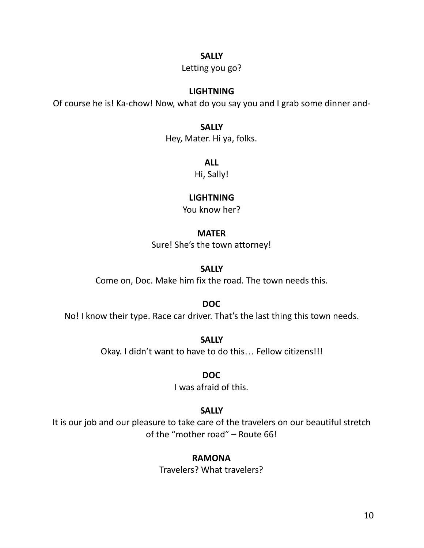#### **SALLY**

#### Letting you go?

#### **LIGHTNING**

Of course he is! Ka-chow! Now, what do you say you and I grab some dinner and-

#### **SALLY**

Hey, Mater. Hi ya, folks.

#### **ALL**

Hi, Sally!

### **LIGHTNING**

You know her?

### **MATER**

Sure! She's the town attorney!

#### **SALLY**

Come on, Doc. Make him fix the road. The town needs this.

#### **DOC**

No! I know their type. Race car driver. That's the last thing this town needs.

**SALLY** Okay. I didn't want to have to do this… Fellow citizens!!!

#### **DOC**

I was afraid of this.

# **SALLY**

It is our job and our pleasure to take care of the travelers on our beautiful stretch of the "mother road" – Route 66!

### **RAMONA**

Travelers? What travelers?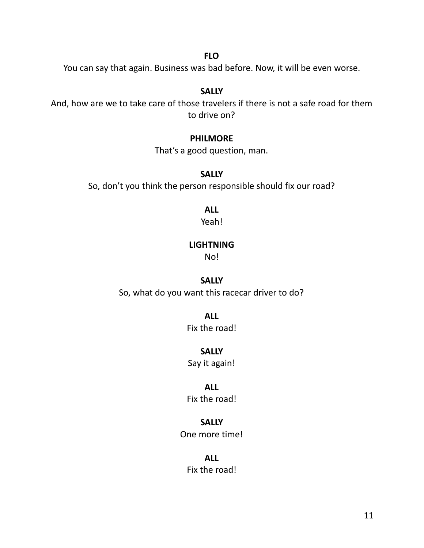### **FLO** You can say that again. Business was bad before. Now, it will be even worse.

#### **SALLY**

And, how are we to take care of those travelers if there is not a safe road for them to drive on?

#### **PHILMORE**

That's a good question, man.

#### **SALLY**

So, don't you think the person responsible should fix our road?

**ALL**

Yeah!

#### **LIGHTNING**

No!

#### **SALLY**

So, what do you want this racecar driver to do?

**ALL**

Fix the road!

**SALLY**

Say it again!

**ALL**

Fix the road!

#### **SALLY**

One more time!

#### **ALL**

Fix the road!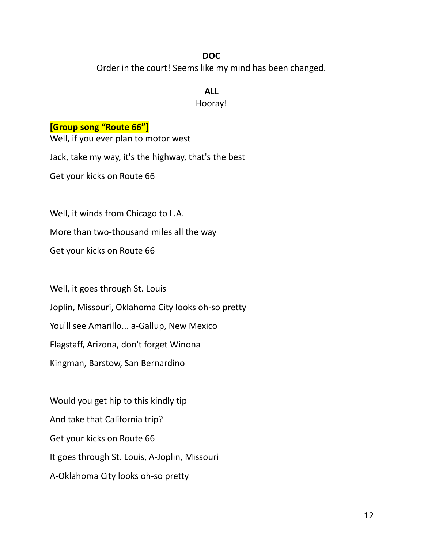### **DOC**

Order in the court! Seems like my mind has been changed.

#### **ALL**

#### Hooray!

### **[Group song "Route 66"]**

Well, if you ever plan to motor west Jack, take my way, it's the highway, that's the best Get your kicks on Route 66

Well, it winds from Chicago to L.A.

More than two-thousand miles all the way

Get your kicks on Route 66

Well, it goes through St. Louis

Joplin, Missouri, Oklahoma City looks oh-so pretty

You'll see Amarillo... a-Gallup, New Mexico

Flagstaff, Arizona, don't forget Winona

Kingman, Barstow, San Bernardino

Would you get hip to this kindly tip And take that California trip? Get your kicks on Route 66 It goes through St. Louis, A-Joplin, Missouri A-Oklahoma City looks oh-so pretty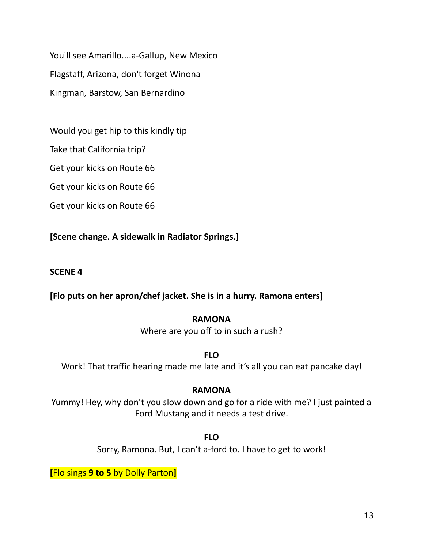You'll see Amarillo....a-Gallup, New Mexico Flagstaff, Arizona, don't forget Winona Kingman, Barstow, San Bernardino

Would you get hip to this kindly tip

Take that California trip?

Get your kicks on Route 66

Get your kicks on Route 66

Get your kicks on Route 66

**[Scene change. A sidewalk in Radiator Springs.]**

## **SCENE 4**

**[Flo puts on her apron/chef jacket. She is in a hurry. Ramona enters]**

### **RAMONA**

Where are you off to in such a rush?

# **FLO**

Work! That traffic hearing made me late and it's all you can eat pancake day!

### **RAMONA**

Yummy! Hey, why don't you slow down and go for a ride with me? I just painted a Ford Mustang and it needs a test drive.

### **FLO**

Sorry, Ramona. But, I can't a-ford to. I have to get to work!

**[**Flo sings **9 to 5** by Dolly Parton**]**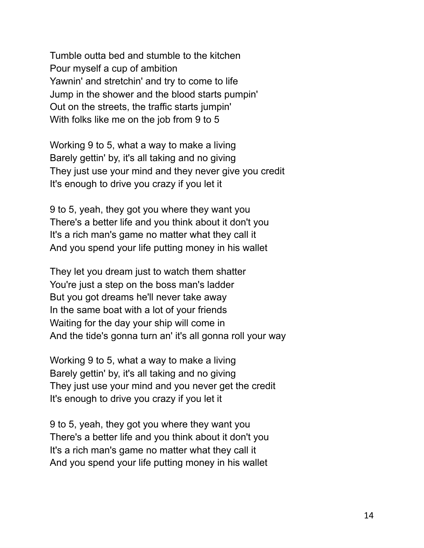Tumble outta bed and [stumble](https://genius.com/5036227/Dolly-parton-9-to-5/Tumble-outta-bed-and-stumble-to-the-kitchen) to the kitchen Pour myself a cup of [ambition](https://genius.com/814327/Dolly-parton-9-to-5/Pour-myself-a-cup-of-ambition) Yawnin' and [stretchin'](https://genius.com/4386185/Dolly-parton-9-to-5/Yawnin-and-stretchin-and-try-to-come-to-life) and try to come to life Jump in the shower and the blood starts [pumpin'](https://genius.com/5036224/Dolly-parton-9-to-5/Jump-in-the-shower-and-the-blood-starts-pumpin) Out on the [streets,](https://genius.com/5036195/Dolly-parton-9-to-5/Out-on-the-streets-the-traffic-starts-jumpin-with-folks-like-me-on-the-job-from-9-to-5) the traffic starts jumpin' With [folks](https://genius.com/5036195/Dolly-parton-9-to-5/Out-on-the-streets-the-traffic-starts-jumpin-with-folks-like-me-on-the-job-from-9-to-5) like me on the job from 9 to 5

[Working](https://genius.com/5036191/Dolly-parton-9-to-5/Working-9-to-5-what-a-way-to-make-a-living) 9 to 5, what a way to make a living Barely gettin' by, it's all taking and no giving They just use your mind and they never give you credit It's enough to drive you crazy if you let it

9 to 5, yeah, they got you where they want you There's a better life and you think about it don't you It's a rich man's game no [matter](https://genius.com/5265333/Dolly-parton-9-to-5/Its-a-rich-mans-game-no-matter-what-they-call-it) what they call it And you spend your life [putting](https://genius.com/5265946/Dolly-parton-9-to-5/And-you-spend-your-life-putting-money-in-his-wallet) money in his wallet

They let you dream just to watch them [shatter](https://genius.com/5036232/Dolly-parton-9-to-5/They-let-you-dream-just-to-watch-them-shatter) [You're](https://genius.com/2588619/Dolly-parton-9-to-5/Youre-just-a-step-on-the-boss-mans-ladder) just a step on the boss man's ladder But you got dreams he'll never take away In the same boat with a lot of your friends [Waiting](https://genius.com/5264747/Dolly-parton-9-to-5/Waiting-for-the-day-your-ship-will-come-in-and-the-tides-gonna-turn-an-its-all-gonna-roll-your-way) for the day your ship will come in And the tide's gonna turn an' it's all [gonna](https://genius.com/5264747/Dolly-parton-9-to-5/Waiting-for-the-day-your-ship-will-come-in-and-the-tides-gonna-turn-an-its-all-gonna-roll-your-way) roll your way

[Working](https://genius.com/5036191/Dolly-parton-9-to-5/Working-9-to-5-what-a-way-to-make-a-living) 9 to 5, what a way to make a living Barely gettin' by, it's all taking and no giving They just use your mind and you never get the credit It's enough to drive you crazy if you let it

9 to 5, yeah, they got you where they want you There's a better life and you think about it don't you It's a rich man's game no [matter](https://genius.com/5265333/Dolly-parton-9-to-5/Its-a-rich-mans-game-no-matter-what-they-call-it) what they call it And you spend your life [putting](https://genius.com/5265946/Dolly-parton-9-to-5/And-you-spend-your-life-putting-money-in-his-wallet) money in his wallet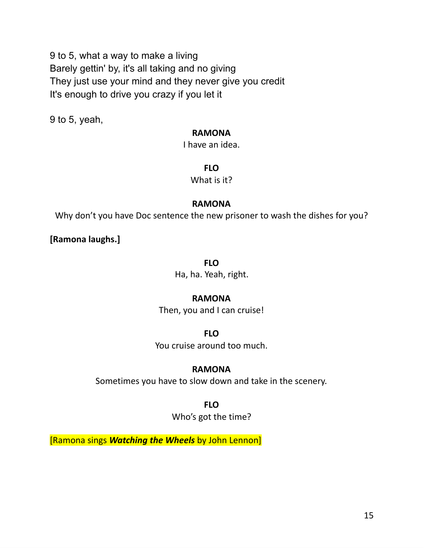9 to 5, what a way to [make](https://genius.com/5036191/Dolly-parton-9-to-5/Working-9-to-5-what-a-way-to-make-a-living) a living Barely gettin' by, it's all taking and no giving They just use your mind and they never give you credit It's enough to drive you crazy if you let it

9 to 5, yeah,

#### **RAMONA**

I have an idea.

#### **FLO**

What is it?

### **RAMONA**

Why don't you have Doc sentence the new prisoner to wash the dishes for you?

**[Ramona laughs.]**

## **FLO**

Ha, ha. Yeah, right.

# **RAMONA**

Then, you and I can cruise!

# **FLO**

You cruise around too much.

# **RAMONA**

Sometimes you have to slow down and take in the scenery.

# **FLO**

Who's got the time?

[Ramona sings *Watching the Wheels* by John Lennon]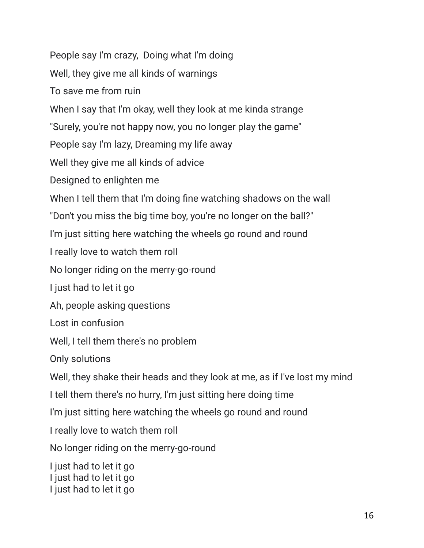People say I'm crazy, Doing what I'm doing

Well, they give me all kinds of warnings

To save me from ruin

When I say that I'm okay, well they look at me kinda strange

"Surely, you're not happy now, you no longer play the game"

People say I'm lazy, Dreaming my life away

Well they give me all kinds of advice

Designed to enlighten me

When I tell them that I'm doing fine watching shadows on the wall

"Don't you miss the big time boy, you're no longer on the ball?"

I'm just sitting here watching the wheels go round and round

I really love to watch them roll

No longer riding on the merry-go-round

I just had to let it go

Ah, people asking questions

Lost in confusion

Well, I tell them there's no problem

Only solutions

Well, they shake their heads and they look at me, as if I've lost my mind

I tell them there's no hurry, I'm just sitting here doing time

I'm just sitting here watching the wheels go round and round

I really love to watch them roll

No longer riding on the merry-go-round

I just had to let it go I just had to let it go I just had to let it go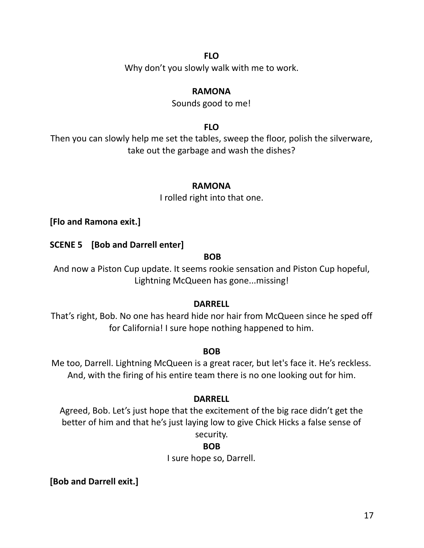### **FLO**

Why don't you slowly walk with me to work.

## **RAMONA**

Sounds good to me!

### **FLO**

Then you can slowly help me set the tables, sweep the floor, polish the silverware, take out the garbage and wash the dishes?

### **RAMONA**

I rolled right into that one.

**[Flo and Ramona exit.]**

## **SCENE 5 [Bob and Darrell enter]**

#### **BOB**

And now a Piston Cup update. It seems rookie sensation and Piston Cup hopeful, Lightning McQueen has gone...missing!

### **DARRELL**

That's right, Bob. No one has heard hide nor hair from McQueen since he sped off for California! I sure hope nothing happened to him.

### **BOB**

Me too, Darrell. Lightning McQueen is a great racer, but let's face it. He's reckless. And, with the firing of his entire team there is no one looking out for him.

### **DARRELL**

Agreed, Bob. Let's just hope that the excitement of the big race didn't get the better of him and that he's just laying low to give Chick Hicks a false sense of security.

### **BOB**

I sure hope so, Darrell.

**[Bob and Darrell exit.]**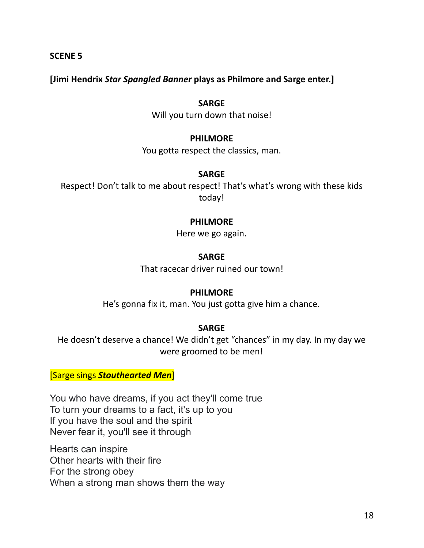#### **SCENE 5**

**[Jimi Hendrix** *Star Spangled Banner* **plays as Philmore and Sarge enter.]**

#### **SARGE**

Will you turn down that noise!

#### **PHILMORE**

You gotta respect the classics, man.

#### **SARGE**

Respect! Don't talk to me about respect! That's what's wrong with these kids today!

#### **PHILMORE**

Here we go again.

### **SARGE**

That racecar driver ruined our town!

### **PHILMORE**

He's gonna fix it, man. You just gotta give him a chance.

### **SARGE**

He doesn't deserve a chance! We didn't get "chances" in my day. In my day we were groomed to be men!

[Sarge sings *Stouthearted Men*]

You who have dreams, if you act they'll come true To turn your dreams to a fact, it's up to you If you have the soul and the spirit Never fear it, you'll see it through

Hearts can inspire Other hearts with their fire For the strong obey When a strong man shows them the way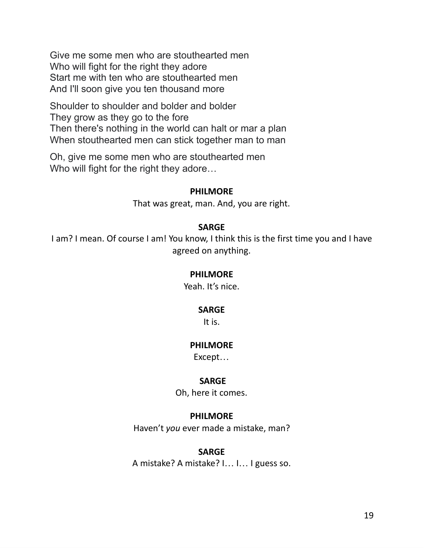Give me some men who are stouthearted men Who will fight for the right they adore Start me with ten who are stouthearted men And I'll soon give you ten thousand more

Shoulder to shoulder and bolder and bolder They grow as they go to the fore Then there's nothing in the world can halt or mar a plan When stouthearted men can stick together man to man

Oh, give me some men who are stouthearted men Who will fight for the right they adore...

#### **PHILMORE**

That was great, man. And, you are right.

#### **SARGE**

I am? I mean. Of course I am! You know, I think this is the first time you and I have agreed on anything.

#### **PHILMORE**

Yeah. It's nice.

#### **SARGE**

It is.

### **PHILMORE**

Except…

# **SARGE**

Oh, here it comes.

# **PHILMORE**

Haven't *you* ever made a mistake, man?

# **SARGE**

A mistake? A mistake? I… I… I guess so.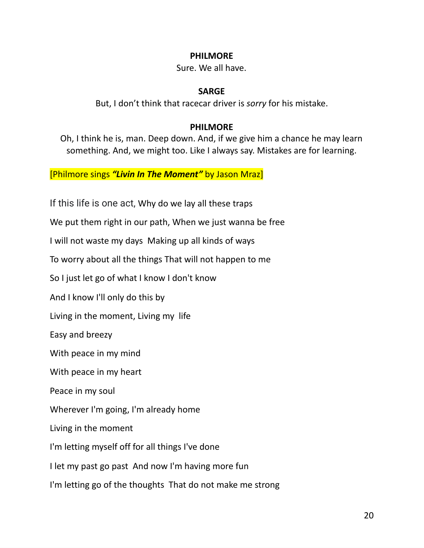#### **PHILMORE**

Sure. We all have.

### **SARGE**

But, I don't think that racecar driver is *sorry* for his mistake.

### **PHILMORE**

Oh, I think he is, man. Deep down. And, if we give him a chance he may learn something. And, we might too. Like I always say. Mistakes are for learning.

[Philmore sings *"Livin In The Moment"* by Jason Mraz]

If this life is one act, Why do we lay all these traps

We put them right in our path, When we just wanna be free

I will not waste my days Making up all kinds of ways

To worry about all the things That will not happen to me

So I just let go of what I know I don't know

And I know I'll only do this by

Living in the moment, Living my life

Easy and breezy

With peace in my mind

With peace in my heart

Peace in my soul

Wherever I'm going, I'm already home

Living in the moment

I'm letting myself off for all things I've done

I let my past go past And now I'm having more fun

I'm letting go of the thoughts That do not make me strong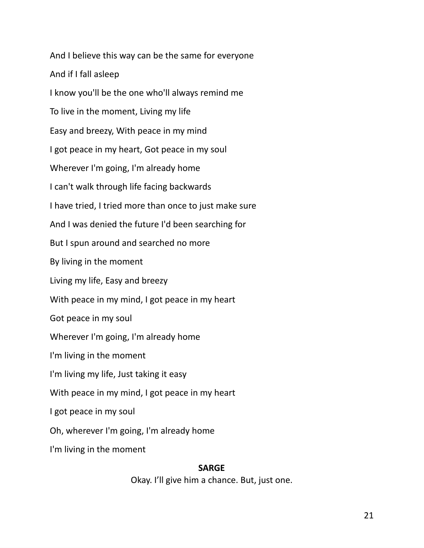And I believe this way can be the same for everyone And if I fall asleep I know you'll be the one who'll always remind me To live in the moment, Living my life Easy and breezy, With peace in my mind I got peace in my heart, Got peace in my soul Wherever I'm going, I'm already home I can't walk through life facing backwards I have tried, I tried more than once to just make sure And I was denied the future I'd been searching for But I spun around and searched no more By living in the moment Living my life, Easy and breezy With peace in my mind, I got peace in my heart Got peace in my soul Wherever I'm going, I'm already home I'm living in the moment I'm living my life, Just taking it easy With peace in my mind, I got peace in my heart I got peace in my soul Oh, wherever I'm going, I'm already home I'm living in the moment

### **SARGE** Okay. I'll give him a chance. But, just one.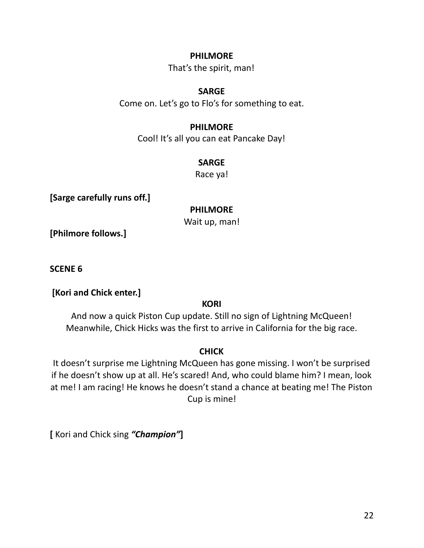#### **PHILMORE**

That's the spirit, man!

### **SARGE**

Come on. Let's go to Flo's for something to eat.

## **PHILMORE**

Cool! It's all you can eat Pancake Day!

## **SARGE**

Race ya!

**[Sarge carefully runs off.]**

# **PHILMORE**

Wait up, man!

**[Philmore follows.]**

**SCENE 6**

# **[Kori and Chick enter.]**

**KORI**

And now a quick Piston Cup update. Still no sign of Lightning McQueen! Meanwhile, Chick Hicks was the first to arrive in California for the big race.

# **CHICK**

It doesn't surprise me Lightning McQueen has gone missing. I won't be surprised if he doesn't show up at all. He's scared! And, who could blame him? I mean, look at me! I am racing! He knows he doesn't stand a chance at beating me! The Piston Cup is mine!

**[** Kori and Chick sing *"Champion"***]**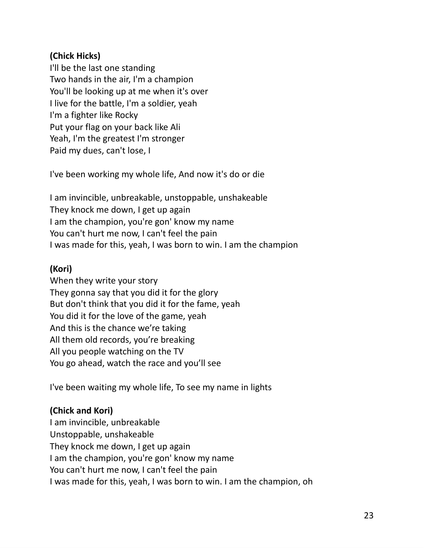## **(Chick Hicks)**

I'll be the last one standing Two hands in the air, I'm a champion You'll be looking up at me when it's over I live for the battle, I'm a soldier, yeah I'm a fighter like Rocky Put your flag on your back like Ali Yeah, I'm the greatest I'm stronger Paid my dues, can't lose, I

I've been working my whole life, And now it's do or die

I am invincible, unbreakable, unstoppable, unshakeable They knock me down, I get up again I am the champion, you're gon' know my name You can't hurt me now, I can't feel the pain I was made for this, yeah, I was born to win. I am the champion

### **(Kori)**

When they write your story They gonna say that you did it for the glory But don't think that you did it for the fame, yeah You did it for the love of the game, yeah And this is the chance we're taking All them old records, you're breaking All you people watching on the TV You go ahead, watch the race and you'll see

I've been waiting my whole life, To see my name in lights

### **(Chick and Kori)**

I am invincible, unbreakable Unstoppable, unshakeable They knock me down, I get up again I am the champion, you're gon' know my name You can't hurt me now, I can't feel the pain I was made for this, yeah, I was born to win. I am the champion, oh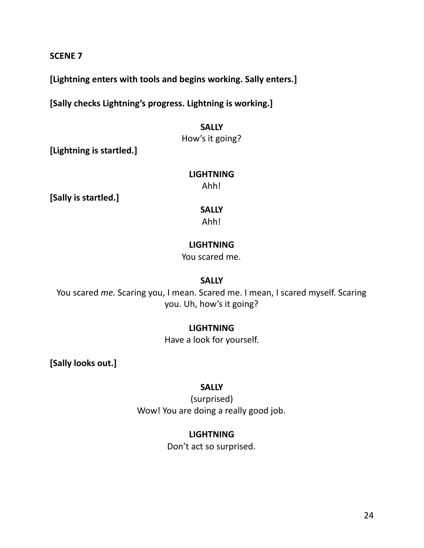**SCENE 7**

**[Lightning enters with tools and begins working. Sally enters.]**

**[Sally checks Lightning's progress. Lightning is working.]**

**SALLY**

How's it going?

**[Lightning is startled.]**

#### **LIGHTNING**

Ahh!

**[Sally is startled.]**

#### **SALLY**

Ahh!

### **LIGHTNING**

You scared me.

#### **SALLY**

You scared *me.* Scaring you, I mean. Scared me. I mean, I scared myself. Scaring you. Uh, how's it going?

### **LIGHTNING**

Have a look for yourself.

**[Sally looks out.]**

### **SALLY**

(surprised) Wow! You are doing a really good job.

### **LIGHTNING**

Don't act so surprised.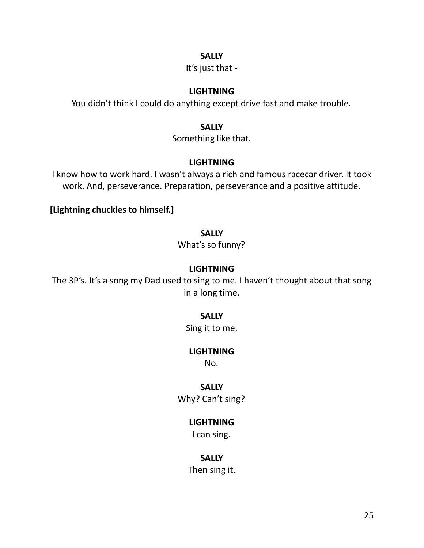#### **SALLY**

#### It's just that -

### **LIGHTNING**

You didn't think I could do anything except drive fast and make trouble.

#### **SALLY**

Something like that.

# **LIGHTNING**

I know how to work hard. I wasn't always a rich and famous racecar driver. It took work. And, perseverance. Preparation, perseverance and a positive attitude.

# **[Lightning chuckles to himself.]**

## **SALLY**

What's so funny?

# **LIGHTNING**

The 3P's. It's a song my Dad used to sing to me. I haven't thought about that song in a long time.

### **SALLY**

Sing it to me.

# **LIGHTNING**

No.

# **SALLY**

Why? Can't sing?

# **LIGHTNING**

I can sing.

# **SALLY**

Then sing it.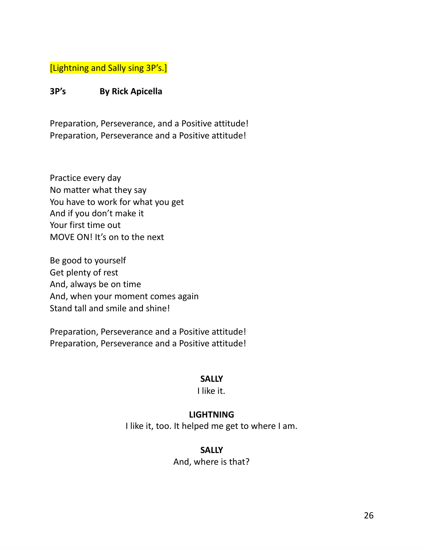## [Lightning and Sally sing 3P's.]

#### **3P's By Rick Apicella**

Preparation, Perseverance, and a Positive attitude! Preparation, Perseverance and a Positive attitude!

Practice every day No matter what they say You have to work for what you get And if you don't make it Your first time out MOVE ON! It's on to the next

Be good to yourself Get plenty of rest And, always be on time And, when your moment comes again Stand tall and smile and shine!

Preparation, Perseverance and a Positive attitude! Preparation, Perseverance and a Positive attitude!

#### **SALLY**

I like it.

### **LIGHTNING**

I like it, too. It helped me get to where I am.

#### **SALLY**

And, where is that?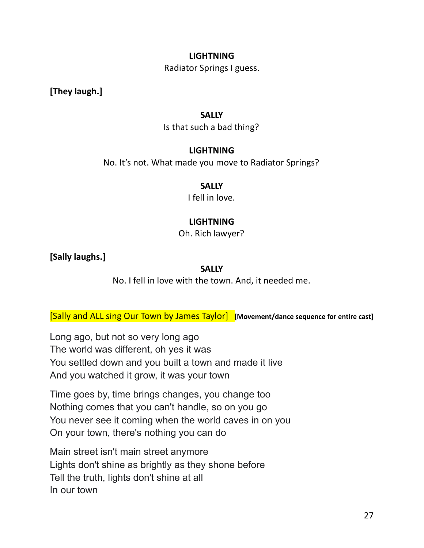### **LIGHTNING**

Radiator Springs I guess.

**[They laugh.]**

#### **SALLY**

Is that such a bad thing?

# **LIGHTNING**

No. It's not. What made you move to Radiator Springs?

## **SALLY**

I fell in love.

# **LIGHTNING**

Oh. Rich lawyer?

**[Sally laughs.]**

## **SALLY**

No. I fell in love with the town. And, it needed me.

[Sally and ALL sing Our Town by James Taylor] **[Movement/dance sequence for entire cast]**

Long ago, but not so very long ago The world was different, oh yes it was You settled down and you built a town and made it live And you watched it grow, it was your town

Time goes by, time brings changes, you change too Nothing comes that you can't handle, so on you go You never see it coming when the world caves in on you On your town, there's nothing you can do

Main street isn't main street anymore Lights don't shine as brightly as they shone before Tell the truth, lights don't shine at all In our town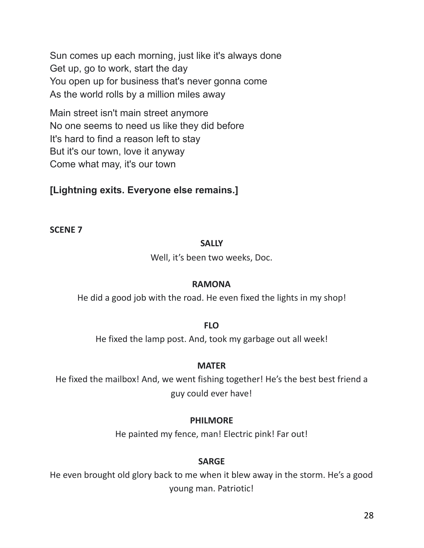Sun comes up each morning, just like it's always done Get up, go to work, start the day You open up for business that's never gonna come As the world rolls by a million miles away

Main street isn't main street anymore No one seems to need us like they did before It's hard to find a reason left to stay But it's our town, love it anyway Come what may, it's our town

# **[Lightning exits. Everyone else remains.]**

**SCENE 7**

## **SALLY**

Well, it's been two weeks, Doc.

# **RAMONA**

He did a good job with the road. He even fixed the lights in my shop!

**FLO**

He fixed the lamp post. And, took my garbage out all week!

# **MATER**

He fixed the mailbox! And, we went fishing together! He's the best best friend a guy could ever have!

# **PHILMORE**

He painted my fence, man! Electric pink! Far out!

# **SARGE**

He even brought old glory back to me when it blew away in the storm. He's a good young man. Patriotic!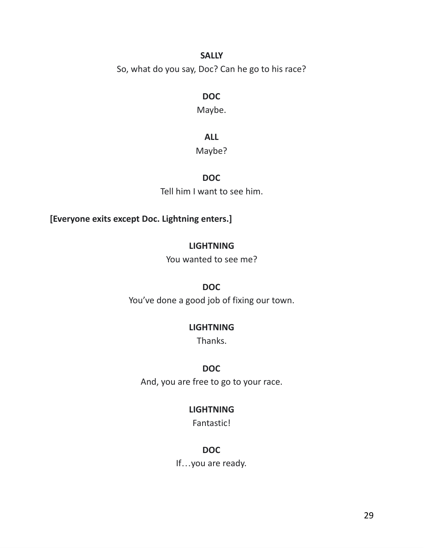#### **SALLY**

So, what do you say, Doc? Can he go to his race?

### **DOC**

Maybe.

#### **ALL**

#### Maybe?

#### **DOC**

Tell him I want to see him.

## **[Everyone exits except Doc. Lightning enters.]**

### **LIGHTNING**

You wanted to see me?

#### **DOC**

You've done a good job of fixing our town.

### **LIGHTNING**

Thanks.

### **DOC**

And, you are free to go to your race.

# **LIGHTNING**

Fantastic!

### **DOC**

If…you are ready.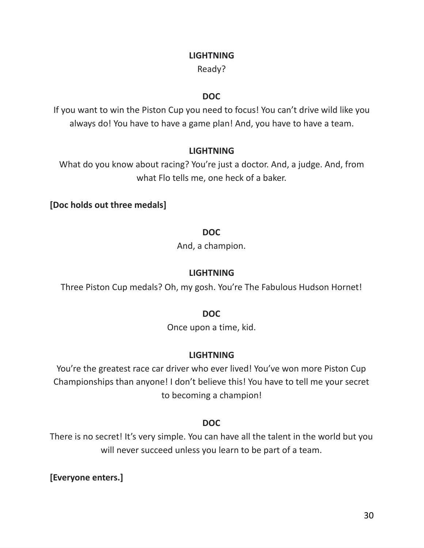### **LIGHTNING**

Ready?

#### **DOC**

If you want to win the Piston Cup you need to focus! You can't drive wild like you always do! You have to have a game plan! And, you have to have a team.

### **LIGHTNING**

What do you know about racing? You're just a doctor. And, a judge. And, from what Flo tells me, one heck of a baker.

**[Doc holds out three medals]**

### **DOC**

And, a champion.

## **LIGHTNING**

Three Piston Cup medals? Oh, my gosh. You're The Fabulous Hudson Hornet!

### **DOC**

Once upon a time, kid.

# **LIGHTNING**

You're the greatest race car driver who ever lived! You've won more Piston Cup Championships than anyone! I don't believe this! You have to tell me your secret to becoming a champion!

### **DOC**

There is no secret! It's very simple. You can have all the talent in the world but you will never succeed unless you learn to be part of a team.

**[Everyone enters.]**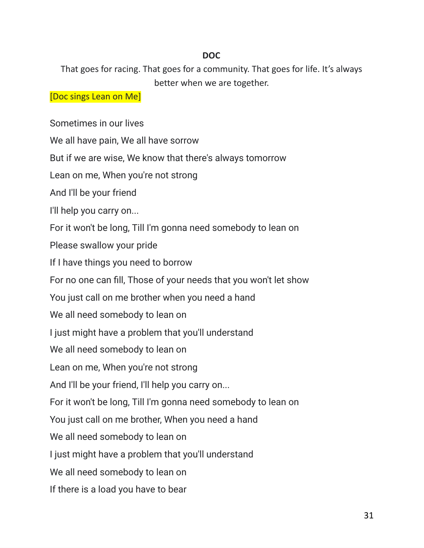#### **DOC**

That goes for racing. That goes for a community. That goes for life. It's always better when we are together.

# [Doc sings Lean on Me]

Sometimes in our lives

We all have pain, We all have sorrow

But if we are wise, We know that there's always tomorrow

Lean on me, When you're not strong

And I'll be your friend

I'll help you carry on...

For it won't be long, Till I'm gonna need somebody to lean on

Please swallow your pride

If I have things you need to borrow

For no one can fill, Those of your needs that you won't let show

You just call on me brother when you need a hand

We all need somebody to lean on

I just might have a problem that you'll understand

We all need somebody to lean on

Lean on me, When you're not strong

And I'll be your friend, I'll help you carry on...

For it won't be long, Till I'm gonna need somebody to lean on

You just call on me brother, When you need a hand

We all need somebody to lean on

I just might have a problem that you'll understand

We all need somebody to lean on

If there is a load you have to bear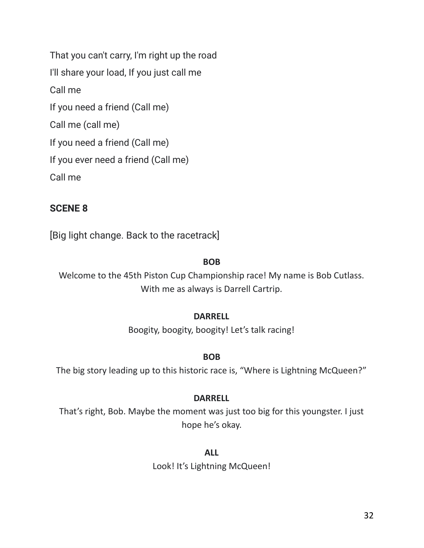That you can't carry, I'm right up the road I'll share your load, If you just call me Call me If you need a friend (Call me) Call me (call me) If you need a friend (Call me) If you ever need a friend (Call me) Call me

# **SCENE 8**

[Big light change. Back to the racetrack]

# **BOB**

Welcome to the 45th Piston Cup Championship race! My name is Bob Cutlass. With me as always is Darrell Cartrip.

# **DARRELL**

Boogity, boogity, boogity! Let's talk racing!

# **BOB**

The big story leading up to this historic race is, "Where is Lightning McQueen?"

# **DARRELL**

That's right, Bob. Maybe the moment was just too big for this youngster. I just hope he's okay.

> **ALL** Look! It's Lightning McQueen!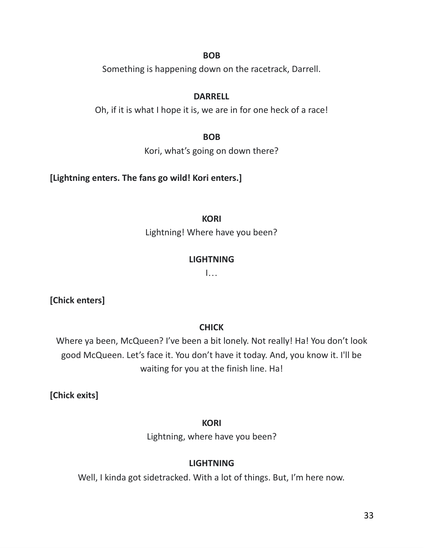#### **BOB**

Something is happening down on the racetrack, Darrell.

#### **DARRELL**

Oh, if it is what I hope it is, we are in for one heck of a race!

#### **BOB**

Kori, what's going on down there?

**[Lightning enters. The fans go wild! Kori enters.]**

#### **KORI**

Lightning! Where have you been?

#### **LIGHTNING**

 $\mathsf{l}$ …

**[Chick enters]**

#### **CHICK**

Where ya been, McQueen? I've been a bit lonely. Not really! Ha! You don't look good McQueen. Let's face it. You don't have it today. And, you know it. I'll be waiting for you at the finish line. Ha!

**[Chick exits]**

**KORI**

Lightning, where have you been?

### **LIGHTNING**

Well, I kinda got sidetracked. With a lot of things. But, I'm here now.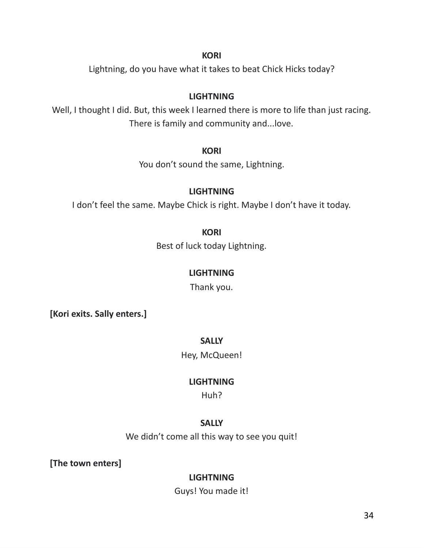#### **KORI**

Lightning, do you have what it takes to beat Chick Hicks today?

#### **LIGHTNING**

Well, I thought I did. But, this week I learned there is more to life than just racing. There is family and community and...love.

#### **KORI**

You don't sound the same, Lightning.

### **LIGHTNING**

I don't feel the same. Maybe Chick is right. Maybe I don't have it today.

#### **KORI**

Best of luck today Lightning.

# **LIGHTNING**

Thank you.

**[Kori exits. Sally enters.]**

### **SALLY**

Hey, McQueen!

# **LIGHTNING**

Huh?

# **SALLY**

We didn't come all this way to see you quit!

**[The town enters]**

# **LIGHTNING**

Guys! You made it!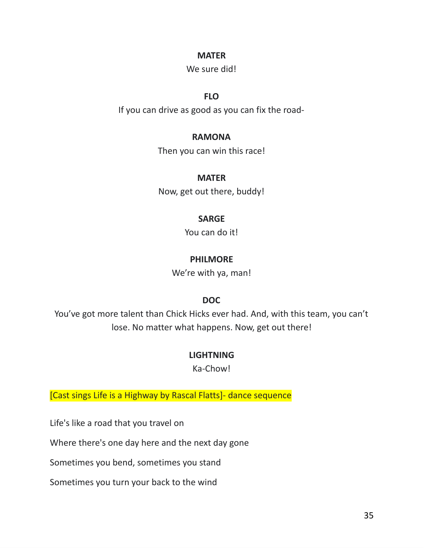#### **MATER**

#### We sure did!

#### **FLO**

If you can drive as good as you can fix the road-

#### **RAMONA**

Then you can win this race!

#### **MATER**

Now, get out there, buddy!

#### **SARGE**

You can do it!

### **PHILMORE**

We're with ya, man!

### **DOC**

You've got more talent than Chick Hicks ever had. And, with this team, you can't lose. No matter what happens. Now, get out there!

### **LIGHTNING**

Ka-Chow!

[Cast sings Life is a Highway by Rascal Flatts]- dance sequence

Life's like a road that you travel on

Where there's one day here and the next day gone

Sometimes you bend, sometimes you stand

Sometimes you turn your back to the wind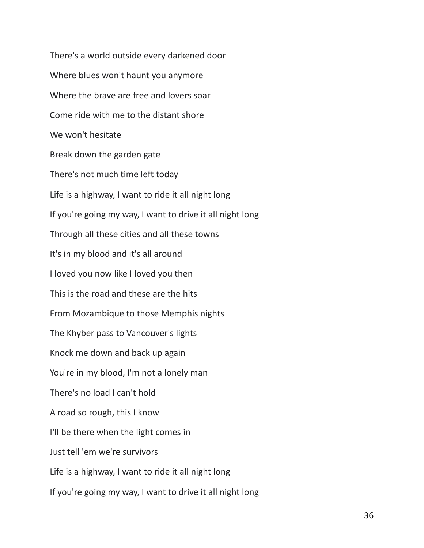There's a world outside every darkened door Where blues won't haunt you anymore Where the brave are free and lovers soar Come ride with me to the distant shore We won't hesitate Break down the garden gate There's not much time left today Life is a highway, I want to ride it all night long If you're going my way, I want to drive it all night long Through all these cities and all these towns It's in my blood and it's all around I loved you now like I loved you then This is the road and these are the hits From Mozambique to those Memphis nights The Khyber pass to Vancouver's lights Knock me down and back up again You're in my blood, I'm not a lonely man There's no load I can't hold A road so rough, this I know I'll be there when the light comes in Just tell 'em we're survivors Life is a highway, I want to ride it all night long If you're going my way, I want to drive it all night long